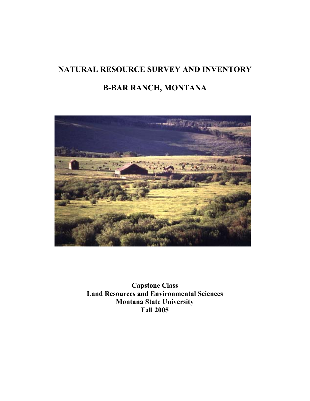# **NATURAL RESOURCE SURVEY AND INVENTORY B-BAR RANCH, MONTANA**



**Capstone Class Land Resources and Environmental Sciences Montana State University Fall 2005**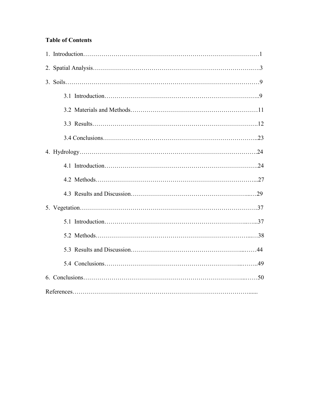# **Table of Contents**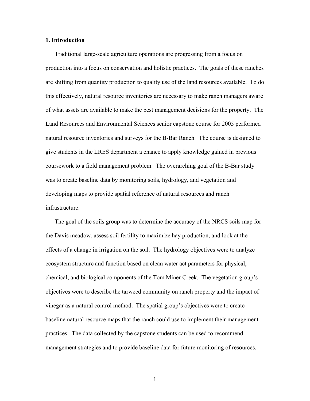#### **1. Introduction**

Traditional large-scale agriculture operations are progressing from a focus on production into a focus on conservation and holistic practices. The goals of these ranches are shifting from quantity production to quality use of the land resources available. To do this effectively, natural resource inventories are necessary to make ranch managers aware of what assets are available to make the best management decisions for the property. The Land Resources and Environmental Sciences senior capstone course for 2005 performed natural resource inventories and surveys for the B-Bar Ranch. The course is designed to give students in the LRES department a chance to apply knowledge gained in previous coursework to a field management problem. The overarching goal of the B-Bar study was to create baseline data by monitoring soils, hydrology, and vegetation and developing maps to provide spatial reference of natural resources and ranch infrastructure.

The goal of the soils group was to determine the accuracy of the NRCS soils map for the Davis meadow, assess soil fertility to maximize hay production, and look at the effects of a change in irrigation on the soil. The hydrology objectives were to analyze ecosystem structure and function based on clean water act parameters for physical, chemical, and biological components of the Tom Miner Creek. The vegetation group's objectives were to describe the tarweed community on ranch property and the impact of vinegar as a natural control method. The spatial group's objectives were to create baseline natural resource maps that the ranch could use to implement their management practices. The data collected by the capstone students can be used to recommend management strategies and to provide baseline data for future monitoring of resources.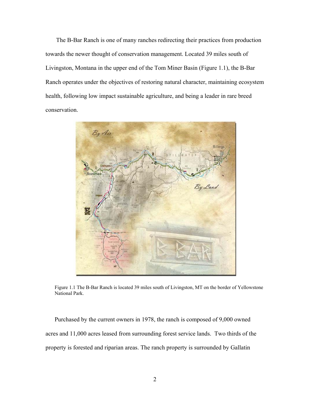The B-Bar Ranch is one of many ranches redirecting their practices from production towards the newer thought of conservation management. Located 39 miles south of Livingston, Montana in the upper end of the Tom Miner Basin (Figure 1.1), the B-Bar Ranch operates under the objectives of restoring natural character, maintaining ecosystem health, following low impact sustainable agriculture, and being a leader in rare breed conservation.



Figure 1.1 The B-Bar Ranch is located 39 miles south of Livingston, MT on the border of Yellowstone National Park.

Purchased by the current owners in 1978, the ranch is composed of 9,000 owned acres and 11,000 acres leased from surrounding forest service lands. Two thirds of the property is forested and riparian areas. The ranch property is surrounded by Gallatin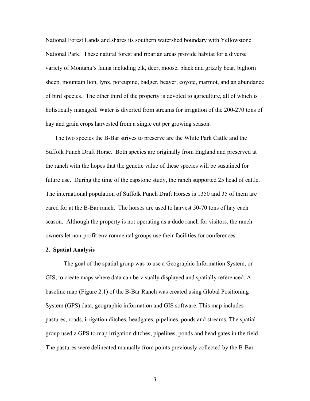National Forest Lands and shares its southern watershed boundary with Yellowstone National Park. These natural forest and riparian areas provide habitat for a diverse variety of Montana's fauna including elk, deer, moose, black and grizzly bear, bighorn sheep, mountain lion, lynx, porcupine, badger, beaver, coyote, marmot, and an abundance of bird species. The other third of the property is devoted to agriculture, all of which is holistically managed. Water is diverted from streams for irrigation of the 200-270 tons of hay and grain crops harvested from a single cut per growing season.

The two species the B-Bar strives to preserve are the White Park Cattle and the Suffolk Punch Draft Horse. Both species are originally from England and preserved at the ranch with the hopes that the genetic value of these species will be sustained for future use. During the time of the capstone study, the ranch supported 25 head of cattle. The international population of Suffolk Punch Draft Horses is 1350 and 35 of them are cared for at the B-Bar ranch. The horses are used to harvest 50-70 tons of hay each season. Although the property is not operating as a dude ranch for visitors, the ranch owners let non-profit environmental groups use their facilities for conferences.

#### **2. Spatial Analysis**

The goal of the spatial group was to use a Geographic Information System, or GIS, to create maps where data can be visually displayed and spatially referenced. A baseline map (Figure 2.1) of the B-Bar Ranch was created using Global Positioning System (GPS) data, geographic information and GIS software. This map includes pastures, roads, irrigation ditches, headgates, pipelines, ponds and streams. The spatial group used a GPS to map irrigation ditches, pipelines, ponds and head gates in the field. The pastures were delineated manually from points previously collected by the B-Bar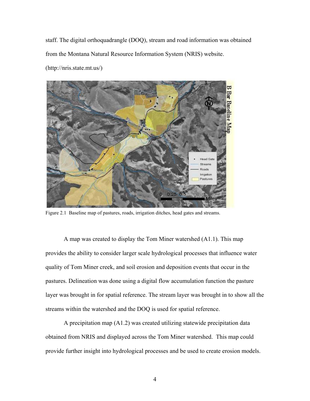staff. The digital orthoquadrangle (DOQ), stream and road information was obtained from the Montana Natural Resource Information System (NRIS) website. (http://nris.state.mt.us/)



Figure 2.1 Baseline map of pastures, roads, irrigation ditches, head gates and streams.

A map was created to display the Tom Miner watershed (A1.1). This map provides the ability to consider larger scale hydrological processes that influence water quality of Tom Miner creek, and soil erosion and deposition events that occur in the pastures. Delineation was done using a digital flow accumulation function the pasture layer was brought in for spatial reference. The stream layer was brought in to show all the streams within the watershed and the DOQ is used for spatial reference.

A precipitation map (A1.2) was created utilizing statewide precipitation data obtained from NRIS and displayed across the Tom Miner watershed. This map could provide further insight into hydrological processes and be used to create erosion models.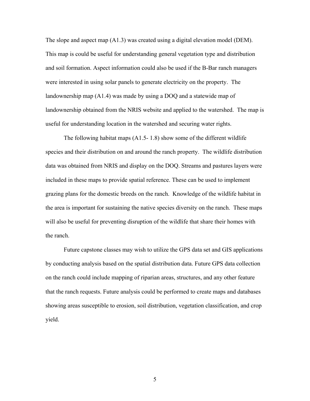The slope and aspect map (A1.3) was created using a digital elevation model (DEM). This map is could be useful for understanding general vegetation type and distribution and soil formation. Aspect information could also be used if the B-Bar ranch managers were interested in using solar panels to generate electricity on the property. The landownership map (A1.4) was made by using a DOQ and a statewide map of landownership obtained from the NRIS website and applied to the watershed. The map is useful for understanding location in the watershed and securing water rights.

The following habitat maps (A1.5- 1.8) show some of the different wildlife species and their distribution on and around the ranch property. The wildlife distribution data was obtained from NRIS and display on the DOQ. Streams and pastures layers were included in these maps to provide spatial reference. These can be used to implement grazing plans for the domestic breeds on the ranch. Knowledge of the wildlife habitat in the area is important for sustaining the native species diversity on the ranch. These maps will also be useful for preventing disruption of the wildlife that share their homes with the ranch.

Future capstone classes may wish to utilize the GPS data set and GIS applications by conducting analysis based on the spatial distribution data. Future GPS data collection on the ranch could include mapping of riparian areas, structures, and any other feature that the ranch requests. Future analysis could be performed to create maps and databases showing areas susceptible to erosion, soil distribution, vegetation classification, and crop yield.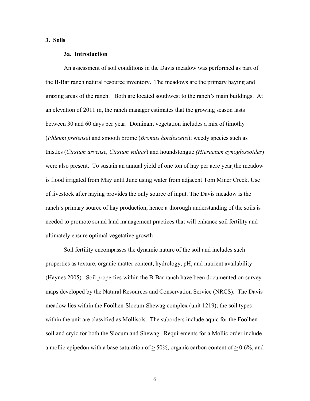#### **3. Soils**

#### **3a. Introduction**

 An assessment of soil conditions in the Davis meadow was performed as part of the B-Bar ranch natural resource inventory. The meadows are the primary haying and grazing areas of the ranch. Both are located southwest to the ranch's main buildings. At an elevation of 2011 m, the ranch manager estimates that the growing season lasts between 30 and 60 days per year. Dominant vegetation includes a mix of timothy (*Phleum pretense*) and smooth brome (*Bromus hordesceus*); weedy species such as thistles (*Cirsium arvense, Cirsium vulgar*) and houndstongue *(Hieracium cynoglossoides*) were also present. To sustain an annual yield of one ton of hay per acre year, the meadow is flood irrigated from May until June using water from adjacent Tom Miner Creek. Use of livestock after haying provides the only source of input. The Davis meadow is the ranch's primary source of hay production, hence a thorough understanding of the soils is needed to promote sound land management practices that will enhance soil fertility and ultimately ensure optimal vegetative growth

Soil fertility encompasses the dynamic nature of the soil and includes such properties as texture, organic matter content, hydrology, pH, and nutrient availability (Haynes 2005). Soil properties within the B-Bar ranch have been documented on survey maps developed by the Natural Resources and Conservation Service (NRCS). The Davis meadow lies within the Foolhen-Slocum-Shewag complex (unit 1219); the soil types within the unit are classified as Mollisols. The suborders include aquic for the Foolhen soil and cryic for both the Slocum and Shewag. Requirements for a Mollic order include a mollic epipedon with a base saturation of  $> 50\%$ , organic carbon content of  $> 0.6\%$ , and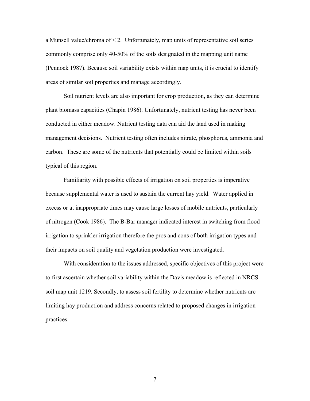a Munsell value/chroma of  $\leq$  2. Unfortunately, map units of representative soil series commonly comprise only 40-50% of the soils designated in the mapping unit name (Pennock 1987). Because soil variability exists within map units, it is crucial to identify areas of similar soil properties and manage accordingly.

Soil nutrient levels are also important for crop production, as they can determine plant biomass capacities (Chapin 1986). Unfortunately, nutrient testing has never been conducted in either meadow. Nutrient testing data can aid the land used in making management decisions. Nutrient testing often includes nitrate, phosphorus, ammonia and carbon. These are some of the nutrients that potentially could be limited within soils typical of this region.

Familiarity with possible effects of irrigation on soil properties is imperative because supplemental water is used to sustain the current hay yield. Water applied in excess or at inappropriate times may cause large losses of mobile nutrients, particularly of nitrogen (Cook 1986). The B-Bar manager indicated interest in switching from flood irrigation to sprinkler irrigation therefore the pros and cons of both irrigation types and their impacts on soil quality and vegetation production were investigated.

With consideration to the issues addressed, specific objectives of this project were to first ascertain whether soil variability within the Davis meadow is reflected in NRCS soil map unit 1219. Secondly, to assess soil fertility to determine whether nutrients are limiting hay production and address concerns related to proposed changes in irrigation practices.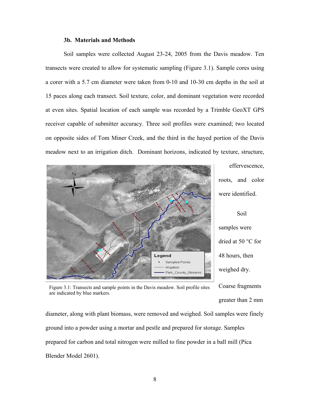#### **3b. Materials and Methods**

Soil samples were collected August 23-24, 2005 from the Davis meadow. Ten transects were created to allow for systematic sampling (Figure 3.1). Sample cores using a corer with a 5.7 cm diameter were taken from 0-10 and 10-30 cm depths in the soil at 15 paces along each transect. Soil texture, color, and dominant vegetation were recorded at even sites. Spatial location of each sample was recorded by a Trimble GeoXT GPS receiver capable of submitter accuracy. Three soil profiles were examined; two located on opposite sides of Tom Miner Creek, and the third in the hayed portion of the Davis meadow next to an irrigation ditch. Dominant horizons, indicated by texture, structure,



effervescence, roots, and color were identified.

Soil samples were dried at 50 °C for 48 hours, then weighed dry.

greater than 2 mm

Coarse fragments Figure 3.1: Transects and sample points in the Davis meadow. Soil profile sites are indicated by blue markers.

diameter, along with plant biomass, were removed and weighed. Soil samples were finely ground into a powder using a mortar and pestle and prepared for storage. Samples prepared for carbon and total nitrogen were milled to fine powder in a ball mill (Pica Blender Model 2601).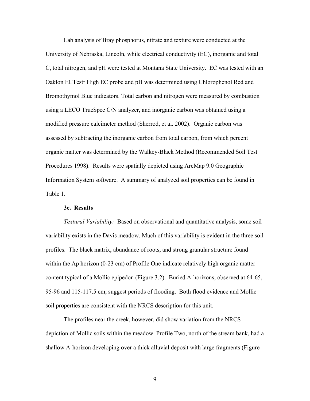Lab analysis of Bray phosphorus, nitrate and texture were conducted at the University of Nebraska, Lincoln, while electrical conductivity (EC), inorganic and total C, total nitrogen, and pH were tested at Montana State University. EC was tested with an Oaklon ECTestr High EC probe and pH was determined using Chlorophenol Red and Bromothymol Blue indicators. Total carbon and nitrogen were measured by combustion using a LECO TrueSpec C/N analyzer, and inorganic carbon was obtained using a modified pressure calcimeter method (Sherrod, et al. 2002). Organic carbon was assessed by subtracting the inorganic carbon from total carbon, from which percent organic matter was determined by the Walkey-Black Method (Recommended Soil Test Procedures 1998**)**. Results were spatially depicted using ArcMap 9.0 Geographic Information System software. A summary of analyzed soil properties can be found in Table 1.

#### **3c. Results**

*Textural Variability:* Based on observational and quantitative analysis, some soil variability exists in the Davis meadow. Much of this variability is evident in the three soil profiles. The black matrix, abundance of roots, and strong granular structure found within the Ap horizon (0-23 cm) of Profile One indicate relatively high organic matter content typical of a Mollic epipedon (Figure 3.2). Buried A-horizons, observed at 64-65, 95-96 and 115-117.5 cm, suggest periods of flooding. Both flood evidence and Mollic soil properties are consistent with the NRCS description for this unit.

The profiles near the creek, however, did show variation from the NRCS depiction of Mollic soils within the meadow. Profile Two, north of the stream bank, had a shallow A-horizon developing over a thick alluvial deposit with large fragments (Figure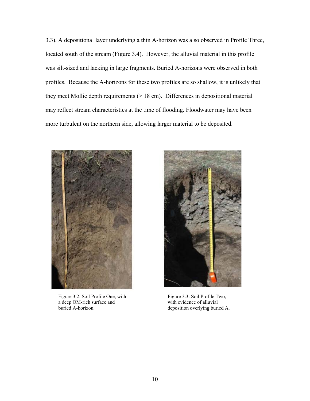3.3). A depositional layer underlying a thin A-horizon was also observed in Profile Three, located south of the stream (Figure 3.4). However, the alluvial material in this profile was silt-sized and lacking in large fragments. Buried A-horizons were observed in both profiles. Because the A-horizons for these two profiles are so shallow, it is unlikely that they meet Mollic depth requirements  $( \geq 18 \text{ cm})$ . Differences in depositional material may reflect stream characteristics at the time of flooding. Floodwater may have been more turbulent on the northern side, allowing larger material to be deposited.



Figure 3.2: Soil Profile One, with a deep OM-rich surface and buried A-horizon.



Figure 3.3: Soil Profile Two, with evidence of alluvial deposition overlying buried A.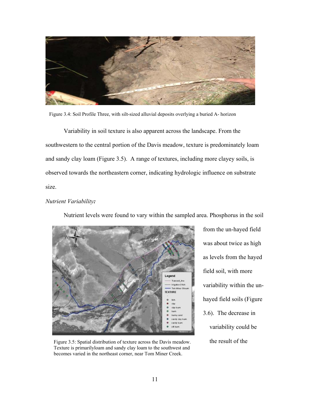

Figure 3.4: Soil Profile Three, with silt-sized alluvial deposits overlying a buried A- horizon

Variability in soil texture is also apparent across the landscape. From the southwestern to the central portion of the Davis meadow, texture is predominately loam and sandy clay loam (Figure 3.5). A range of textures, including more clayey soils, is observed towards the northeastern corner, indicating hydrologic influence on substrate size.

## *Nutrient Variability:*



Nutrient levels were found to vary within the sampled area. Phosphorus in the soil

Figure 3.5: Spatial distribution of texture across the Davis meadow. the result of the Texture is primarilyloam and sandy clay loam to the southwest and becomes varied in the northeast corner, near Tom Miner Creek.

from the un-hayed field was about twice as high as levels from the hayed field soil, with more variability within the unhayed field soils (Figure 3.6). The decrease in variability could be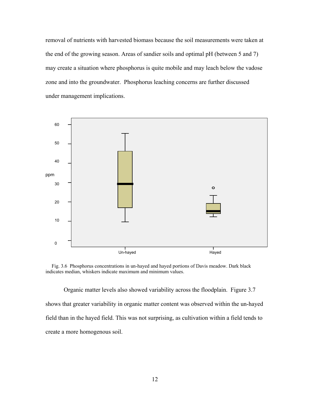removal of nutrients with harvested biomass because the soil measurements were taken at the end of the growing season. Areas of sandier soils and optimal pH (between 5 and 7) may create a situation where phosphorus is quite mobile and may leach below the vadose zone and into the groundwater. Phosphorus leaching concerns are further discussed under management implications.



Fig. 3.6Phosphorus concentrations in un-hayed and hayed portions of Davis meadow. Dark black indicates median, whiskers indicate maximum and minimum values.

Organic matter levels also showed variability across the floodplain. Figure 3.7 shows that greater variability in organic matter content was observed within the un-hayed field than in the hayed field. This was not surprising, as cultivation within a field tends to create a more homogenous soil.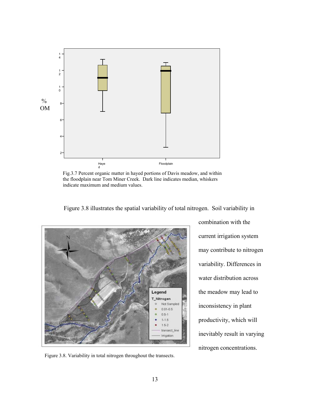

Fig.3.7 Percent organic matter in hayed portions of Davis meadow, and within the floodplain near Tom Miner Creek. Dark line indicates median, whiskers indicate maximum and medium values.

Figure 3.8 illustrates the spatial variability of total nitrogen. Soil variability in



Figure 3.8. Variability in total nitrogen throughout the transects.

combination with the current irrigation system may contribute to nitrogen variability. Differences in water distribution across the meadow may lead to inconsistency in plant productivity, which will inevitably result in varying nitrogen concentrations.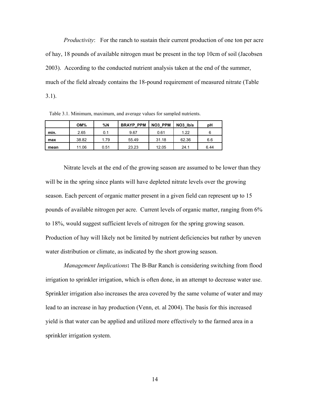*Productivity*: For the ranch to sustain their current production of one ton per acre of hay, 18 pounds of available nitrogen must be present in the top 10cm of soil (Jacobsen 2003). According to the conducted nutrient analysis taken at the end of the summer, much of the field already contains the 18-pound requirement of measured nitrate (Table 3.1).

Table 3.1. Minimum, maximum, and average values for sampled nutrients.

|      | OM%   | %N   | <b>BRAYP PPM</b> | <b>NO3 PPM</b> | NO <sub>3</sub> Ib/a | рH   |
|------|-------|------|------------------|----------------|----------------------|------|
| min. | 2.65  | 0.1  | 9.67             | 0.61           | 1.22                 |      |
| max  | 38.82 | 1.79 | 55.49            | 31.18          | 62.36                | 6.6  |
| mean | 11.06 | 0.51 | 23.23            | 12.05          | 24.1                 | 6.44 |

Nitrate levels at the end of the growing season are assumed to be lower than they will be in the spring since plants will have depleted nitrate levels over the growing season. Each percent of organic matter present in a given field can represent up to 15 pounds of available nitrogen per acre. Current levels of organic matter, ranging from 6% to 18%, would suggest sufficient levels of nitrogen for the spring growing season. Production of hay will likely not be limited by nutrient deficiencies but rather by uneven water distribution or climate, as indicated by the short growing season.

*Management Implications***:** The B-Bar Ranch is considering switching from flood irrigation to sprinkler irrigation, which is often done, in an attempt to decrease water use. Sprinkler irrigation also increases the area covered by the same volume of water and may lead to an increase in hay production (Venn, et. al 2004). The basis for this increased yield is that water can be applied and utilized more effectively to the farmed area in a sprinkler irrigation system.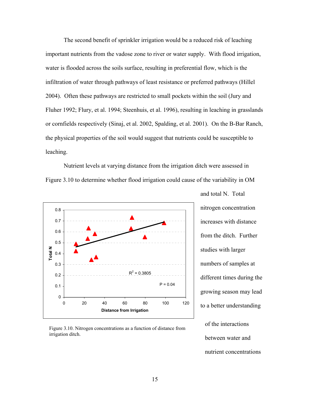The second benefit of sprinkler irrigation would be a reduced risk of leaching important nutrients from the vadose zone to river or water supply. With flood irrigation, water is flooded across the soils surface, resulting in preferential flow, which is the infiltration of water through pathways of least resistance or preferred pathways (Hillel 2004). Often these pathways are restricted to small pockets within the soil (Jury and Fluher 1992; Flury, et al. 1994; Steenhuis, et al. 1996), resulting in leaching in grasslands or cornfields respectively (Sinaj, et al. 2002, Spalding, et al. 2001). On the B-Bar Ranch, the physical properties of the soil would suggest that nutrients could be susceptible to leaching.

Nutrient levels at varying distance from the irrigation ditch were assessed in Figure 3.10 to determine whether flood irrigation could cause of the variability in OM



Figure 3.10. Nitrogen concentrations as a function of distance from irrigation ditch.

and total N. Total nitrogen concentration increases with distance from the ditch. Further studies with larger numbers of samples at different times during the growing season may lead to a better understanding

of the interactions between water and nutrient concentrations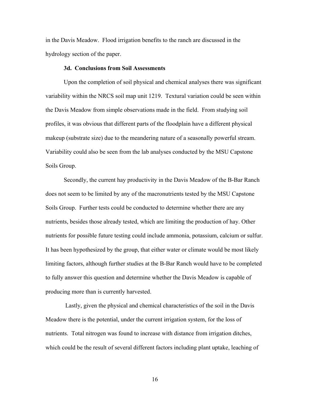in the Davis Meadow. Flood irrigation benefits to the ranch are discussed in the hydrology section of the paper.

#### **3d. Conclusions from Soil Assessments**

Upon the completion of soil physical and chemical analyses there was significant variability within the NRCS soil map unit 1219. Textural variation could be seen within the Davis Meadow from simple observations made in the field. From studying soil profiles, it was obvious that different parts of the floodplain have a different physical makeup (substrate size) due to the meandering nature of a seasonally powerful stream. Variability could also be seen from the lab analyses conducted by the MSU Capstone Soils Group.

Secondly, the current hay productivity in the Davis Meadow of the B-Bar Ranch does not seem to be limited by any of the macronutrients tested by the MSU Capstone Soils Group. Further tests could be conducted to determine whether there are any nutrients, besides those already tested, which are limiting the production of hay. Other nutrients for possible future testing could include ammonia, potassium, calcium or sulfur. It has been hypothesized by the group, that either water or climate would be most likely limiting factors, although further studies at the B-Bar Ranch would have to be completed to fully answer this question and determine whether the Davis Meadow is capable of producing more than is currently harvested.

 Lastly, given the physical and chemical characteristics of the soil in the Davis Meadow there is the potential, under the current irrigation system, for the loss of nutrients. Total nitrogen was found to increase with distance from irrigation ditches, which could be the result of several different factors including plant uptake, leaching of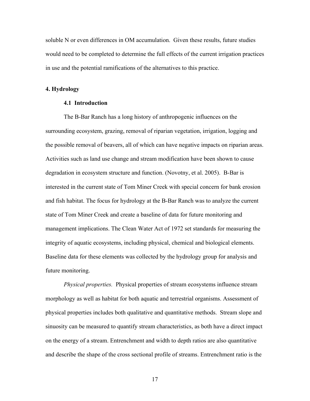soluble N or even differences in OM accumulation. Given these results, future studies would need to be completed to determine the full effects of the current irrigation practices in use and the potential ramifications of the alternatives to this practice.

#### **4. Hydrology**

#### **4.1 Introduction**

The B-Bar Ranch has a long history of anthropogenic influences on the surrounding ecosystem, grazing, removal of riparian vegetation, irrigation, logging and the possible removal of beavers, all of which can have negative impacts on riparian areas. Activities such as land use change and stream modification have been shown to cause degradation in ecosystem structure and function. (Novotny, et al. 2005). B-Bar is interested in the current state of Tom Miner Creek with special concern for bank erosion and fish habitat. The focus for hydrology at the B-Bar Ranch was to analyze the current state of Tom Miner Creek and create a baseline of data for future monitoring and management implications. The Clean Water Act of 1972 set standards for measuring the integrity of aquatic ecosystems, including physical, chemical and biological elements. Baseline data for these elements was collected by the hydrology group for analysis and future monitoring.

*Physical properties.* Physical properties of stream ecosystems influence stream morphology as well as habitat for both aquatic and terrestrial organisms. Assessment of physical properties includes both qualitative and quantitative methods. Stream slope and sinuosity can be measured to quantify stream characteristics, as both have a direct impact on the energy of a stream. Entrenchment and width to depth ratios are also quantitative and describe the shape of the cross sectional profile of streams. Entrenchment ratio is the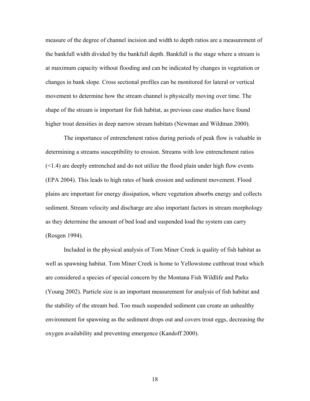measure of the degree of channel incision and width to depth ratios are a measurement of the bankfull width divided by the bankfull depth. Bankfull is the stage where a stream is at maximum capacity without flooding and can be indicated by changes in vegetation or changes in bank slope. Cross sectional profiles can be monitored for lateral or vertical movement to determine how the stream channel is physically moving over time. The shape of the stream is important for fish habitat, as previous case studies have found higher trout densities in deep narrow stream habitats (Newman and Wildman 2000).

The importance of entrenchment ratios during periods of peak flow is valuable in determining a streams susceptibility to erosion. Streams with low entrenchment ratios (<1.4) are deeply entrenched and do not utilize the flood plain under high flow events (EPA 2004). This leads to high rates of bank erosion and sediment movement. Flood plains are important for energy dissipation, where vegetation absorbs energy and collects sediment. Stream velocity and discharge are also important factors in stream morphology as they determine the amount of bed load and suspended load the system can carry (Rosgen 1994).

Included in the physical analysis of Tom Miner Creek is quality of fish habitat as well as spawning habitat. Tom Miner Creek is home to Yellowstone cutthroat trout which are considered a species of special concern by the Montana Fish Wildlife and Parks (Young 2002). Particle size is an important measurement for analysis of fish habitat and the stability of the stream bed. Too much suspended sediment can create an unhealthy environment for spawning as the sediment drops out and covers trout eggs, decreasing the oxygen availability and preventing emergence (Kandoff 2000).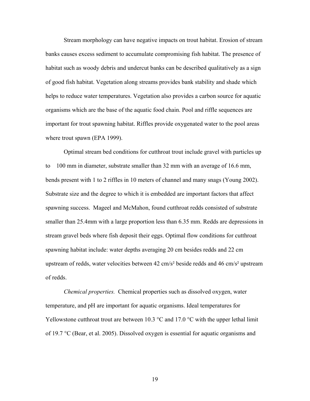Stream morphology can have negative impacts on trout habitat. Erosion of stream banks causes excess sediment to accumulate compromising fish habitat. The presence of habitat such as woody debris and undercut banks can be described qualitatively as a sign of good fish habitat. Vegetation along streams provides bank stability and shade which helps to reduce water temperatures. Vegetation also provides a carbon source for aquatic organisms which are the base of the aquatic food chain. Pool and riffle sequences are important for trout spawning habitat. Riffles provide oxygenated water to the pool areas where trout spawn (EPA 1999).

Optimal stream bed conditions for cutthroat trout include gravel with particles up to 100 mm in diameter, substrate smaller than 32 mm with an average of 16.6 mm, bends present with 1 to 2 riffles in 10 meters of channel and many snags (Young 2002). Substrate size and the degree to which it is embedded are important factors that affect spawning success. Mageel and McMahon, found cutthroat redds consisted of substrate smaller than 25.4mm with a large proportion less than 6.35 mm. Redds are depressions in stream gravel beds where fish deposit their eggs. Optimal flow conditions for cutthroat spawning habitat include: water depths averaging 20 cm besides redds and 22 cm upstream of redds, water velocities between 42 cm/s² beside redds and 46 cm/s² upstream of redds.

*Chemical properties.* Chemical properties such as dissolved oxygen, water temperature, and pH are important for aquatic organisms. Ideal temperatures for Yellowstone cutthroat trout are between 10.3  $\degree$ C and 17.0  $\degree$ C with the upper lethal limit of 19.7 °C (Bear, et al. 2005). Dissolved oxygen is essential for aquatic organisms and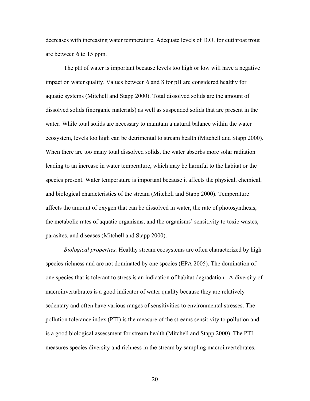decreases with increasing water temperature. Adequate levels of D.O. for cutthroat trout are between 6 to 15 ppm.

The pH of water is important because levels too high or low will have a negative impact on water quality. Values between 6 and 8 for pH are considered healthy for aquatic systems (Mitchell and Stapp 2000). Total dissolved solids are the amount of dissolved solids (inorganic materials) as well as suspended solids that are present in the water. While total solids are necessary to maintain a natural balance within the water ecosystem, levels too high can be detrimental to stream health (Mitchell and Stapp 2000). When there are too many total dissolved solids, the water absorbs more solar radiation leading to an increase in water temperature, which may be harmful to the habitat or the species present. Water temperature is important because it affects the physical, chemical, and biological characteristics of the stream (Mitchell and Stapp 2000). Temperature affects the amount of oxygen that can be dissolved in water, the rate of photosynthesis, the metabolic rates of aquatic organisms, and the organisms' sensitivity to toxic wastes, parasites, and diseases (Mitchell and Stapp 2000).

*Biological properties.* Healthy stream ecosystems are often characterized by high species richness and are not dominated by one species (EPA 2005). The domination of one species that is tolerant to stress is an indication of habitat degradation. A diversity of macroinvertabrates is a good indicator of water quality because they are relatively sedentary and often have various ranges of sensitivities to environmental stresses. The pollution tolerance index (PTI) is the measure of the streams sensitivity to pollution and is a good biological assessment for stream health (Mitchell and Stapp 2000). The PTI measures species diversity and richness in the stream by sampling macroinvertebrates.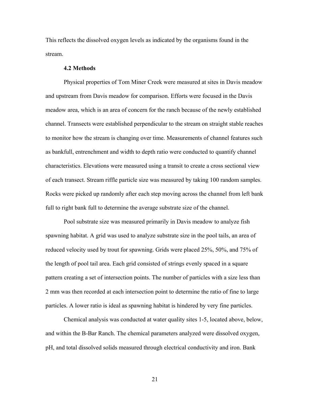This reflects the dissolved oxygen levels as indicated by the organisms found in the stream.

#### **4.2 Methods**

Physical properties of Tom Miner Creek were measured at sites in Davis meadow and upstream from Davis meadow for comparison. Efforts were focused in the Davis meadow area, which is an area of concern for the ranch because of the newly established channel. Transects were established perpendicular to the stream on straight stable reaches to monitor how the stream is changing over time. Measurements of channel features such as bankfull, entrenchment and width to depth ratio were conducted to quantify channel characteristics. Elevations were measured using a transit to create a cross sectional view of each transect. Stream riffle particle size was measured by taking 100 random samples. Rocks were picked up randomly after each step moving across the channel from left bank full to right bank full to determine the average substrate size of the channel.

Pool substrate size was measured primarily in Davis meadow to analyze fish spawning habitat. A grid was used to analyze substrate size in the pool tails, an area of reduced velocity used by trout for spawning. Grids were placed 25%, 50%, and 75% of the length of pool tail area. Each grid consisted of strings evenly spaced in a square pattern creating a set of intersection points. The number of particles with a size less than 2 mm was then recorded at each intersection point to determine the ratio of fine to large particles. A lower ratio is ideal as spawning habitat is hindered by very fine particles.

Chemical analysis was conducted at water quality sites 1-5, located above, below, and within the B-Bar Ranch. The chemical parameters analyzed were dissolved oxygen, pH, and total dissolved solids measured through electrical conductivity and iron. Bank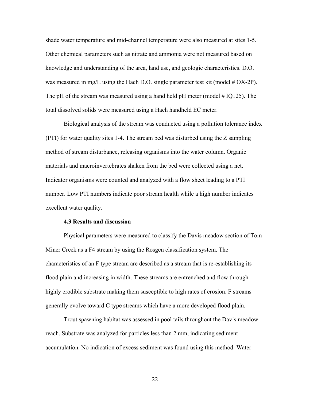shade water temperature and mid-channel temperature were also measured at sites 1-5. Other chemical parameters such as nitrate and ammonia were not measured based on knowledge and understanding of the area, land use, and geologic characteristics. D.O. was measured in mg/L using the Hach D.O. single parameter test kit (model  $# OX-2P$ ). The pH of the stream was measured using a hand held pH meter (model  $\#$  IQ125). The total dissolved solids were measured using a Hach handheld EC meter.

Biological analysis of the stream was conducted using a pollution tolerance index (PTI) for water quality sites 1-4. The stream bed was disturbed using the Z sampling method of stream disturbance, releasing organisms into the water column. Organic materials and macroinvertebrates shaken from the bed were collected using a net. Indicator organisms were counted and analyzed with a flow sheet leading to a PTI number. Low PTI numbers indicate poor stream health while a high number indicates excellent water quality.

#### **4.3 Results and discussion**

Physical parameters were measured to classify the Davis meadow section of Tom Miner Creek as a F4 stream by using the Rosgen classification system. The characteristics of an F type stream are described as a stream that is re-establishing its flood plain and increasing in width. These streams are entrenched and flow through highly erodible substrate making them susceptible to high rates of erosion. F streams generally evolve toward C type streams which have a more developed flood plain.

Trout spawning habitat was assessed in pool tails throughout the Davis meadow reach. Substrate was analyzed for particles less than 2 mm, indicating sediment accumulation. No indication of excess sediment was found using this method. Water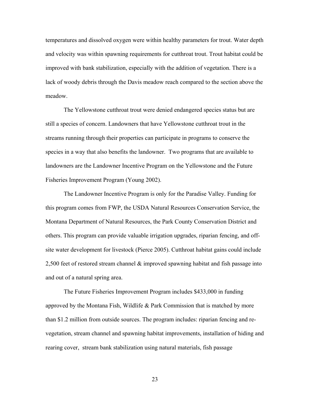temperatures and dissolved oxygen were within healthy parameters for trout. Water depth and velocity was within spawning requirements for cutthroat trout. Trout habitat could be improved with bank stabilization, especially with the addition of vegetation. There is a lack of woody debris through the Davis meadow reach compared to the section above the meadow.

The Yellowstone cutthroat trout were denied endangered species status but are still a species of concern. Landowners that have Yellowstone cutthroat trout in the streams running through their properties can participate in programs to conserve the species in a way that also benefits the landowner. Two programs that are available to landowners are the Landowner Incentive Program on the Yellowstone and the Future Fisheries Improvement Program (Young 2002).

The Landowner Incentive Program is only for the Paradise Valley. Funding for this program comes from FWP, the USDA Natural Resources Conservation Service, the Montana Department of Natural Resources, the Park County Conservation District and others. This program can provide valuable irrigation upgrades, riparian fencing, and offsite water development for livestock (Pierce 2005). Cutthroat habitat gains could include 2,500 feet of restored stream channel & improved spawning habitat and fish passage into and out of a natural spring area.

The Future Fisheries Improvement Program includes \$433,000 in funding approved by the Montana Fish, Wildlife & Park Commission that is matched by more than \$1.2 million from outside sources. The program includes: riparian fencing and revegetation, stream channel and spawning habitat improvements, installation of hiding and rearing cover, stream bank stabilization using natural materials, fish passage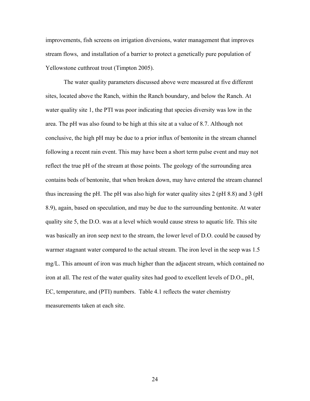improvements, fish screens on irrigation diversions, water management that improves stream flows, and installation of a barrier to protect a genetically pure population of Yellowstone cutthroat trout (Timpton 2005).

The water quality parameters discussed above were measured at five different sites, located above the Ranch, within the Ranch boundary, and below the Ranch. At water quality site 1, the PTI was poor indicating that species diversity was low in the area. The pH was also found to be high at this site at a value of 8.7. Although not conclusive, the high pH may be due to a prior influx of bentonite in the stream channel following a recent rain event. This may have been a short term pulse event and may not reflect the true pH of the stream at those points. The geology of the surrounding area contains beds of bentonite, that when broken down, may have entered the stream channel thus increasing the pH. The pH was also high for water quality sites 2 (pH 8.8) and 3 (pH 8.9), again, based on speculation, and may be due to the surrounding bentonite. At water quality site 5, the D.O. was at a level which would cause stress to aquatic life. This site was basically an iron seep next to the stream, the lower level of D.O. could be caused by warmer stagnant water compared to the actual stream. The iron level in the seep was 1.5 mg/L. This amount of iron was much higher than the adjacent stream, which contained no iron at all. The rest of the water quality sites had good to excellent levels of D.O., pH, EC, temperature, and (PTI) numbers. Table 4.1 reflects the water chemistry measurements taken at each site.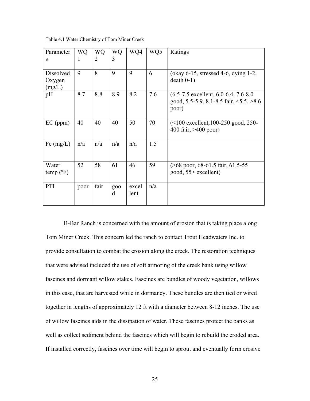| Parameter<br>S                | WQ<br>1 | <b>WQ</b><br>$\overline{2}$ | WQ<br>3         | WQ4           | WQ5 | Ratings                                                                                                 |
|-------------------------------|---------|-----------------------------|-----------------|---------------|-----|---------------------------------------------------------------------------------------------------------|
| Dissolved<br>Oxygen<br>(mg/L) | 9       | 8                           | 9               | 9             | 6   | (okay $6-15$ , stressed $4-6$ , dying $1-2$ ,<br>$death 0-1)$                                           |
| pH                            | 8.7     | 8.8                         | 8.9             | 8.2           | 7.6 | $(6.5-7.5$ excellent, $6.0-6.4$ , $7.6-8.0$<br>good, 5.5-5.9, 8.1-8.5 fair, $\leq$ 5.5, $>8.6$<br>poor) |
| $EC$ (ppm)                    | 40      | 40                          | 40              | 50            | 70  | $(<100$ excellent, 100-250 good, 250-<br>400 fair, $>400$ poor)                                         |
| Fe $(mg/L)$                   | n/a     | n/a                         | n/a             | n/a           | 1.5 |                                                                                                         |
| Water<br>$temp(^{\circ}F)$    | 52      | 58                          | 61              | 46            | 59  | $($ >68 poor, 68-61.5 fair, 61.5-55<br>good, 55> excellent)                                             |
| PTI                           | poor    | fair                        | <b>goo</b><br>d | excel<br>lent | n/a |                                                                                                         |

Table 4.1 Water Chemistry of Tom Miner Creek

B-Bar Ranch is concerned with the amount of erosion that is taking place along Tom Miner Creek. This concern led the ranch to contact Trout Headwaters Inc. to provide consultation to combat the erosion along the creek. The restoration techniques that were advised included the use of soft armoring of the creek bank using willow fascines and dormant willow stakes. Fascines are bundles of woody vegetation, willows in this case, that are harvested while in dormancy. These bundles are then tied or wired together in lengths of approximately 12 ft with a diameter between 8-12 inches. The use of willow fascines aids in the dissipation of water. These fascines protect the banks as well as collect sediment behind the fascines which will begin to rebuild the eroded area. If installed correctly, fascines over time will begin to sprout and eventually form erosive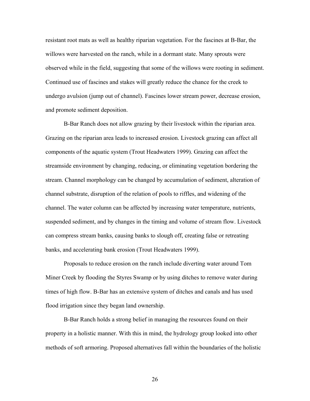resistant root mats as well as healthy riparian vegetation. For the fascines at B-Bar, the willows were harvested on the ranch, while in a dormant state. Many sprouts were observed while in the field, suggesting that some of the willows were rooting in sediment. Continued use of fascines and stakes will greatly reduce the chance for the creek to undergo avulsion (jump out of channel). Fascines lower stream power, decrease erosion, and promote sediment deposition.

B-Bar Ranch does not allow grazing by their livestock within the riparian area. Grazing on the riparian area leads to increased erosion. Livestock grazing can affect all components of the aquatic system (Trout Headwaters 1999). Grazing can affect the streamside environment by changing, reducing, or eliminating vegetation bordering the stream. Channel morphology can be changed by accumulation of sediment, alteration of channel substrate, disruption of the relation of pools to riffles, and widening of the channel. The water column can be affected by increasing water temperature, nutrients, suspended sediment, and by changes in the timing and volume of stream flow. Livestock can compress stream banks, causing banks to slough off, creating false or retreating banks, and accelerating bank erosion (Trout Headwaters 1999).

Proposals to reduce erosion on the ranch include diverting water around Tom Miner Creek by flooding the Styres Swamp or by using ditches to remove water during times of high flow. B-Bar has an extensive system of ditches and canals and has used flood irrigation since they began land ownership.

B-Bar Ranch holds a strong belief in managing the resources found on their property in a holistic manner. With this in mind, the hydrology group looked into other methods of soft armoring. Proposed alternatives fall within the boundaries of the holistic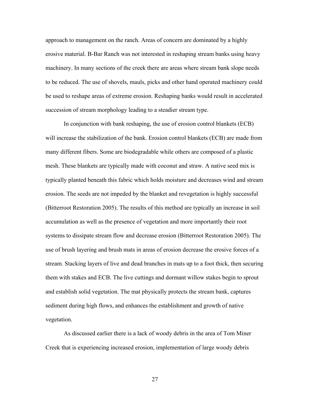approach to management on the ranch. Areas of concern are dominated by a highly erosive material. B-Bar Ranch was not interested in reshaping stream banks using heavy machinery. In many sections of the creek there are areas where stream bank slope needs to be reduced. The use of shovels, mauls, picks and other hand operated machinery could be used to reshape areas of extreme erosion. Reshaping banks would result in accelerated succession of stream morphology leading to a steadier stream type.

In conjunction with bank reshaping, the use of erosion control blankets (ECB) will increase the stabilization of the bank. Erosion control blankets (ECB) are made from many different fibers. Some are biodegradable while others are composed of a plastic mesh. These blankets are typically made with coconut and straw. A native seed mix is typically planted beneath this fabric which holds moisture and decreases wind and stream erosion. The seeds are not impeded by the blanket and revegetation is highly successful (Bitterroot Restoration 2005). The results of this method are typically an increase in soil accumulation as well as the presence of vegetation and more importantly their root systems to dissipate stream flow and decrease erosion (Bitterroot Restoration 2005). The use of brush layering and brush mats in areas of erosion decrease the erosive forces of a stream. Stacking layers of live and dead branches in mats up to a foot thick, then securing them with stakes and ECB. The live cuttings and dormant willow stakes begin to sprout and establish solid vegetation. The mat physically protects the stream bank, captures sediment during high flows, and enhances the establishment and growth of native vegetation.

As discussed earlier there is a lack of woody debris in the area of Tom Miner Creek that is experiencing increased erosion, implementation of large woody debris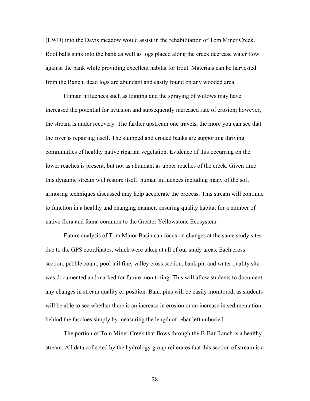(LWD) into the Davis meadow would assist in the rehabilitation of Tom Miner Creek. Root balls sunk into the bank as well as logs placed along the creek decrease water flow against the bank while providing excellent habitat for trout. Materials can be harvested from the Ranch, dead logs are abundant and easily found on any wooded area.

Human influences such as logging and the spraying of willows may have increased the potential for avulsion and subsequently increased rate of erosion; however, the stream is under recovery. The farther upstream one travels, the more you can see that the river is repairing itself. The slumped and eroded banks are supporting thriving communities of healthy native riparian vegetation. Evidence of this occurring on the lower reaches is present, but not as abundant as upper reaches of the creek. Given time this dynamic stream will restore itself; human influences including many of the soft armoring techniques discussed may help accelerate the process. This stream will continue to function in a healthy and changing manner, ensuring quality habitat for a number of native flora and fauna common to the Greater Yellowstone Ecosystem.

Future analysis of Tom Minor Basin can focus on changes at the same study sites due to the GPS coordinates, which were taken at all of our study areas. Each cross section, pebble count, pool tail fine, valley cross section, bank pin and water quality site was documented and marked for future monitoring. This will allow students to document any changes in stream quality or position. Bank pins will be easily monitored, as students will be able to see whether there is an increase in erosion or an increase in sedimentation behind the fascines simply by measuring the length of rebar left unburied.

The portion of Tom Miner Creek that flows through the B-Bar Ranch is a healthy stream. All data collected by the hydrology group reiterates that this section of stream is a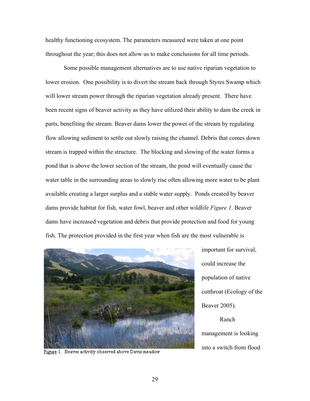healthy functioning ecosystem. The parameters measured were taken at one point throughout the year; this does not allow us to make conclusions for all time periods.

Some possible management alternatives are to use native riparian vegetation to lower erosion. One possibility is to divert the stream back through Styres Swamp which will lower stream power through the riparian vegetation already present. There have been recent signs of beaver activity as they have utilized their ability to dam the creek in parts, benefiting the stream. Beaver dams lower the power of the stream by regulating flow allowing sediment to settle out slowly raising the channel. Debris that comes down stream is trapped within the structure. The blocking and slowing of the water forms a pond that is above the lower section of the stream, the pond will eventually cause the water table in the surrounding areas to slowly rise often allowing more water to be plant available creating a larger surplus and a stable water supply. Ponds created by beaver dams provide habitat for fish, water fowl, beaver and other wildlife *Figure 1*. Beaver dams have increased vegetation and debris that provide protection and food for young fish. The protection provided in the first year when fish are the most vulnerable is



Figure 1. Beaver activity observed above Davis meadow

important for survival, could increase the population of native cutthroat (Ecology of the Beaver 2005). Ranch management is looking

into a switch from flood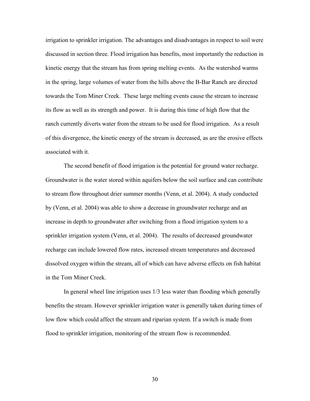irrigation to sprinkler irrigation. The advantages and disadvantages in respect to soil were discussed in section three. Flood irrigation has benefits, most importantly the reduction in kinetic energy that the stream has from spring melting events. As the watershed warms in the spring, large volumes of water from the hills above the B-Bar Ranch are directed towards the Tom Miner Creek. These large melting events cause the stream to increase its flow as well as its strength and power. It is during this time of high flow that the ranch currently diverts water from the stream to be used for flood irrigation. As a result of this divergence, the kinetic energy of the stream is decreased, as are the erosive effects associated with it.

The second benefit of flood irrigation is the potential for ground water recharge. Groundwater is the water stored within aquifers below the soil surface and can contribute to stream flow throughout drier summer months (Venn, et al. 2004). A study conducted by (Venn, et al. 2004) was able to show a decrease in groundwater recharge and an increase in depth to groundwater after switching from a flood irrigation system to a sprinkler irrigation system (Venn, et al. 2004). The results of decreased groundwater recharge can include lowered flow rates, increased stream temperatures and decreased dissolved oxygen within the stream, all of which can have adverse effects on fish habitat in the Tom Miner Creek.

In general wheel line irrigation uses 1/3 less water than flooding which generally benefits the stream. However sprinkler irrigation water is generally taken during times of low flow which could affect the stream and riparian system. If a switch is made from flood to sprinkler irrigation, monitoring of the stream flow is recommended.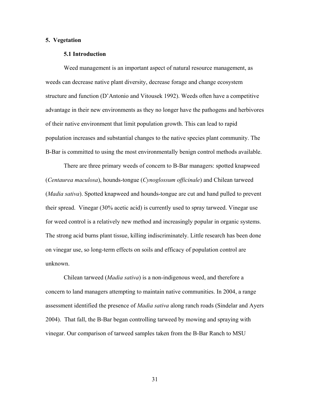#### **5. Vegetation**

#### **5.1 Introduction**

Weed management is an important aspect of natural resource management, as weeds can decrease native plant diversity, decrease forage and change ecosystem structure and function (D'Antonio and Vitousek 1992). Weeds often have a competitive advantage in their new environments as they no longer have the pathogens and herbivores of their native environment that limit population growth. This can lead to rapid population increases and substantial changes to the native species plant community. The B-Bar is committed to using the most environmentally benign control methods available.

There are three primary weeds of concern to B-Bar managers: spotted knapweed (*Centaurea maculosa*), hounds-tongue (*Cynoglossum officinale*) and Chilean tarweed (*Madia sativa*). Spotted knapweed and hounds-tongue are cut and hand pulled to prevent their spread. Vinegar (30% acetic acid) is currently used to spray tarweed. Vinegar use for weed control is a relatively new method and increasingly popular in organic systems. The strong acid burns plant tissue, killing indiscriminately. Little research has been done on vinegar use, so long-term effects on soils and efficacy of population control are unknown.

Chilean tarweed (*Madia sativa*) is a non-indigenous weed, and therefore a concern to land managers attempting to maintain native communities. In 2004, a range assessment identified the presence of *Madia sativa* along ranch roads (Sindelar and Ayers 2004). That fall, the B-Bar began controlling tarweed by mowing and spraying with vinegar. Our comparison of tarweed samples taken from the B-Bar Ranch to MSU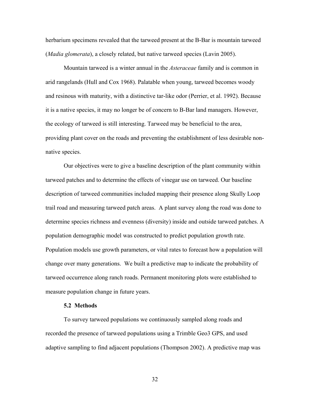herbarium specimens revealed that the tarweed present at the B-Bar is mountain tarweed (*Madia glomerata*), a closely related, but native tarweed species (Lavin 2005).

Mountain tarweed is a winter annual in the *Asteraceae* family and is common in arid rangelands (Hull and Cox 1968). Palatable when young, tarweed becomes woody and resinous with maturity, with a distinctive tar-like odor (Perrier, et al. 1992). Because it is a native species, it may no longer be of concern to B-Bar land managers. However, the ecology of tarweed is still interesting. Tarweed may be beneficial to the area, providing plant cover on the roads and preventing the establishment of less desirable nonnative species.

Our objectives were to give a baseline description of the plant community within tarweed patches and to determine the effects of vinegar use on tarweed. Our baseline description of tarweed communities included mapping their presence along Skully Loop trail road and measuring tarweed patch areas. A plant survey along the road was done to determine species richness and evenness (diversity) inside and outside tarweed patches. A population demographic model was constructed to predict population growth rate. Population models use growth parameters, or vital rates to forecast how a population will change over many generations. We built a predictive map to indicate the probability of tarweed occurrence along ranch roads. Permanent monitoring plots were established to measure population change in future years.

#### **5.2 Methods**

To survey tarweed populations we continuously sampled along roads and recorded the presence of tarweed populations using a Trimble Geo3 GPS, and used adaptive sampling to find adjacent populations (Thompson 2002). A predictive map was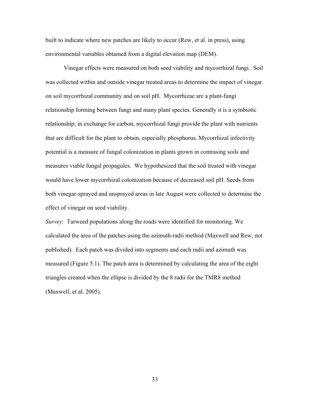built to indicate where new patches are likely to occur (Rew, et al. in press), using environmental variables obtained from a digital elevation map (DEM).

Vinegar effects were measured on both seed viability and mycorrhizal fungi. Soil was collected within and outside vinegar treated areas to determine the impact of vinegar on soil mycorrhizal community and on soil pH. Mycorrhizae are a plant-fungi relationship forming between fungi and many plant species. Generally it is a symbiotic relationship; in exchange for carbon, mycorrhizal fungi provide the plant with nutrients that are difficult for the plant to obtain, especially phosphorus. Mycorrhizal infectivity potential is a measure of fungal colonization in plants grown in contrasing soils and measures viable fungal propagules. We hypothesized that the soil treated with vinegar would have lower mycorrhizal colonization because of decreased soil pH. Seeds from both vinegar-sprayed and unsprayed areas in late August were collected to determine the effect of vinegar on seed viability.

*Survey*: Tarweed populations along the roads were identified for monitoring. We calculated the area of the patches using the azimuth-radii method (Maxwell and Rew, not published). Each patch was divided into segments and each radii and azimuth was measured (Figure 5.1). The patch area is determined by calculating the area of the eight triangles created when the ellipse is divided by the 8 radii for the TMR8 method (Maxwell, et al. 2005).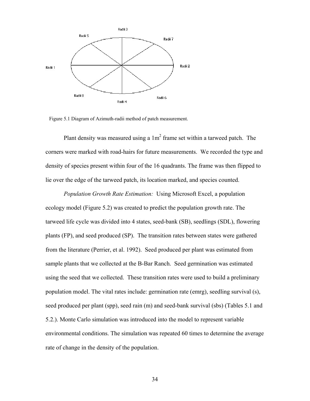

Figure 5.1 Diagram of Azimuth-radii method of patch measurement.

Plant density was measured using a  $1m<sup>2</sup>$  frame set within a tarweed patch. The corners were marked with road-hairs for future measurements. We recorded the type and density of species present within four of the 16 quadrants. The frame was then flipped to lie over the edge of the tarweed patch, its location marked, and species counted.

*Population Growth Rate Estimation:*Using Microsoft Excel, a population ecology model (Figure 5.2) was created to predict the population growth rate. The tarweed life cycle was divided into 4 states, seed-bank (SB), seedlings (SDL), flowering plants (FP), and seed produced (SP). The transition rates between states were gathered from the literature (Perrier, et al. 1992). Seed produced per plant was estimated from sample plants that we collected at the B-Bar Ranch. Seed germination was estimated using the seed that we collected. These transition rates were used to build a preliminary population model. The vital rates include: germination rate (emrg), seedling survival (s), seed produced per plant (spp), seed rain (m) and seed-bank survival (sbs) (Tables 5.1 and 5.2.). Monte Carlo simulation was introduced into the model to represent variable environmental conditions. The simulation was repeated 60 times to determine the average rate of change in the density of the population.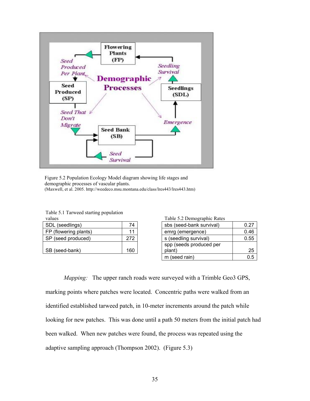

Figure 5.2 Population Ecology Model diagram showing life stages and demographic processes of vascular plants. (Maxwell, et al. 2005. http://weedeco.msu.montana.edu/class/lres443/lres443.htm)

Table 5.1 Tarweed starting population

| vaius,                |     |
|-----------------------|-----|
| SDL (seedlings)       | 74  |
| FP (flowering plants) | 11  |
| SP (seed produced)    | 272 |
|                       |     |
| SB (seed-bank)        | 160 |

values Table 5.2 Demographic Rates

| SDL (seedlings)       | 74  | sbs (seed-bank survival) | 0.27    |
|-----------------------|-----|--------------------------|---------|
| FP (flowering plants) | 11  | emrg (emergence)         | 0.46    |
| SP (seed produced)    | 272 | s (seedling survival)    | 0.55    |
|                       |     | spp (seeds produced per  |         |
| SB (seed-bank)        | 160 | plant)                   | 25      |
|                       |     | m (seed rain)            | $0.5\,$ |

*Mapping:* The upper ranch roads were surveyed with a Trimble Geo3 GPS, marking points where patches were located. Concentric paths were walked from an identified established tarweed patch, in 10-meter increments around the patch while looking for new patches. This was done until a path 50 meters from the initial patch had been walked. When new patches were found, the process was repeated using the adaptive sampling approach (Thompson 2002). (Figure 5.3)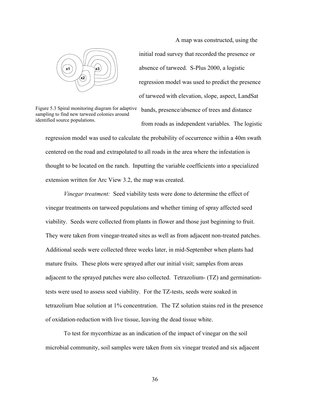

Figure 5.3 Spiral monitoring diagram for adaptive sampling to find new tarweed colonies around identified source populations.

A map was constructed, using the initial road survey that recorded the presence or absence of tarweed. S-Plus 2000, a logistic regression model was used to predict the presence of tarweed with elevation, slope, aspect, LandSat

 bands, presence/absence of trees and distance from roads as independent variables. The logistic

regression model was used to calculate the probability of occurrence within a 40m swath centered on the road and extrapolated to all roads in the area where the infestation is thought to be located on the ranch. Inputting the variable coefficients into a specialized extension written for Arc View 3.2, the map was created.

*Vinegar treatment:* Seed viability tests were done to determine the effect of vinegar treatments on tarweed populations and whether timing of spray affected seed viability. Seeds were collected from plants in flower and those just beginning to fruit. They were taken from vinegar-treated sites as well as from adjacent non-treated patches. Additional seeds were collected three weeks later, in mid-September when plants had mature fruits. These plots were sprayed after our initial visit; samples from areas adjacent to the sprayed patches were also collected. Tetrazolium- (TZ) and germinationtests were used to assess seed viability. For the TZ-tests, seeds were soaked in tetrazolium blue solution at 1% concentration. The TZ solution stains red in the presence of oxidation-reduction with live tissue, leaving the dead tissue white.

To test for mycorrhizae as an indication of the impact of vinegar on the soil microbial community, soil samples were taken from six vinegar treated and six adjacent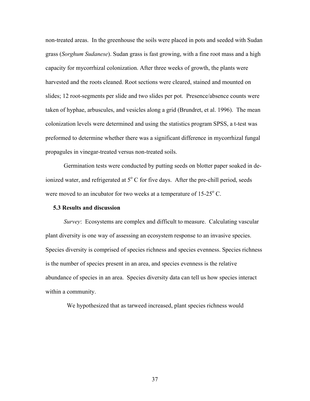non-treated areas. In the greenhouse the soils were placed in pots and seeded with Sudan grass (*Sorghum Sudanese*). Sudan grass is fast growing, with a fine root mass and a high capacity for mycorrhizal colonization. After three weeks of growth, the plants were harvested and the roots cleaned. Root sections were cleared, stained and mounted on slides; 12 root-segments per slide and two slides per pot. Presence/absence counts were taken of hyphae, arbuscules, and vesicles along a grid (Brundret, et al. 1996). The mean colonization levels were determined and using the statistics program SPSS, a t-test was preformed to determine whether there was a significant difference in mycorrhizal fungal propagules in vinegar-treated versus non-treated soils.

Germination tests were conducted by putting seeds on blotter paper soaked in deionized water, and refrigerated at  $5^{\circ}$  C for five days. After the pre-chill period, seeds were moved to an incubator for two weeks at a temperature of  $15{\text -}25^{\circ}$  C.

#### **5.3 Results and discussion**

*Survey*: Ecosystems are complex and difficult to measure. Calculating vascular plant diversity is one way of assessing an ecosystem response to an invasive species. Species diversity is comprised of species richness and species evenness. Species richness is the number of species present in an area, and species evenness is the relative abundance of species in an area. Species diversity data can tell us how species interact within a community.

We hypothesized that as tarweed increased, plant species richness would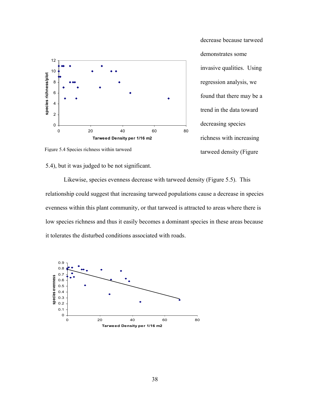

decrease because tarweed demonstrates some invasive qualities. Using regression analysis, we found that there may be a trend in the data toward decreasing species richness with increasing tarweed density (Figure

Figure 5.4 Species richness within tarweed

## 5.4), but it was judged to be not significant.

Likewise, species evenness decrease with tarweed density (Figure 5.5). This relationship could suggest that increasing tarweed populations cause a decrease in species evenness within this plant community, or that tarweed is attracted to areas where there is low species richness and thus it easily becomes a dominant species in these areas because it tolerates the disturbed conditions associated with roads.

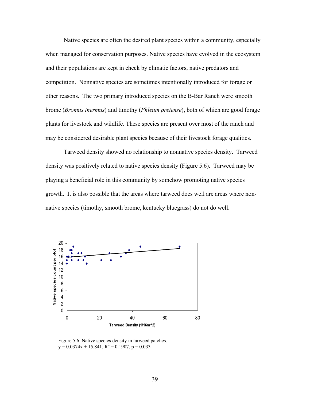Native species are often the desired plant species within a community, especially when managed for conservation purposes. Native species have evolved in the ecosystem and their populations are kept in check by climatic factors, native predators and competition. Nonnative species are sometimes intentionally introduced for forage or other reasons. The two primary introduced species on the B-Bar Ranch were smooth brome (*Bromus inermus*) and timothy (*Phleum pretense*), both of which are good forage plants for livestock and wildlife. These species are present over most of the ranch and may be considered desirable plant species because of their livestock forage qualities.

Tarweed density showed no relationship to nonnative species density. Tarweed density was positively related to native species density (Figure 5.6). Tarweed may be playing a beneficial role in this community by somehow promoting native species growth. It is also possible that the areas where tarweed does well are areas where nonnative species (timothy, smooth brome, kentucky bluegrass) do not do well.



Figure 5.6 Native species density in tarweed patches.  $y = 0.0374x + 15.841$ ,  $R^2 = 0.1907$ ,  $p = 0.033$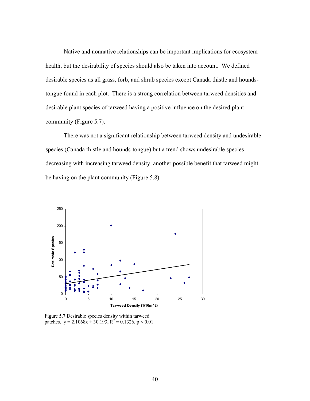Native and nonnative relationships can be important implications for ecosystem health, but the desirability of species should also be taken into account. We defined desirable species as all grass, forb, and shrub species except Canada thistle and houndstongue found in each plot. There is a strong correlation between tarweed densities and desirable plant species of tarweed having a positive influence on the desired plant community (Figure 5.7).

 There was not a significant relationship between tarweed density and undesirable species (Canada thistle and hounds-tongue) but a trend shows undesirable species decreasing with increasing tarweed density, another possible benefit that tarweed might be having on the plant community (Figure 5.8).



Figure 5.7 Desirable species density within tarweed patches.  $y = 2.1068x + 30.193$ ,  $R^2 = 0.1326$ ,  $p < 0.01$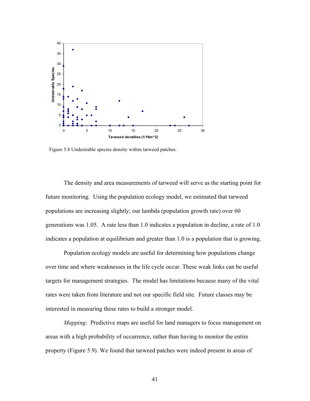

Figure 5.8 Undesirable species density within tarweed patches.

The density and area measurements of tarweed will serve as the starting point for future monitoring. Using the population ecology model, we estimated that tarweed populations are increasing slightly; our lambda (population growth rate) over 60 generations was 1.05. A rate less than 1.0 indicates a population in decline, a rate of 1.0 indicates a population at equilibrium and greater than 1.0 is a population that is growing.

Population ecology models are useful for determining how populations change over time and where weaknesses in the life cycle occur. These weak links can be useful targets for management strategies. The model has limitations because many of the vital rates were taken from literature and not our specific field site. Future classes may be interested in measuring these rates to build a stronger model.

*Mapping*: Predictive maps are useful for land managers to focus management on areas with a high probability of occurrence, rather than having to monitor the entire property (Figure 5.9). We found that tarweed patches were indeed present in areas of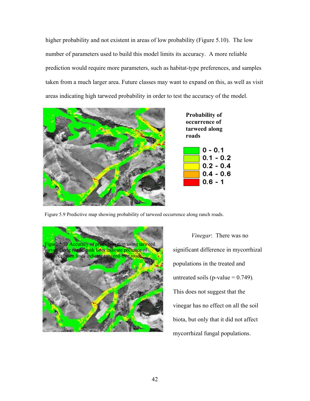higher probability and not existent in areas of low probability (Figure 5.10). The low number of parameters used to build this model limits its accuracy. A more reliable prediction would require more parameters, such as habitat-type preferences, and samples taken from a much larger area. Future classes may want to expand on this, as well as visit areas indicating high tarweed probability in order to test the accuracy of the model.





Figure 5.9 Predictive map showing probability of tarweed occurrence along ranch roads.



*Vinegar*: There was no significant difference in mycorrhizal populations in the treated and untreated soils ( $p$ -value  $= 0.749$ ). This does not suggest that the vinegar has no effect on all the soil biota, but only that it did not affect mycorrhizal fungal populations.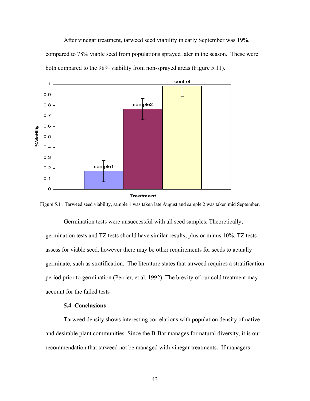After vinegar treatment, tarweed seed viability in early September was 19%, compared to 78% viable seed from populations sprayed later in the season. These were both compared to the 98% viability from non-sprayed areas (Figure 5.11).



**Treatment**

Figure 5.11 Tarweed seed viability, sample 1 was taken late August and sample 2 was taken mid September.

Germination tests were unsuccessful with all seed samples. Theoretically, germination tests and TZ tests should have similar results, plus or minus 10%. TZ tests assess for viable seed, however there may be other requirements for seeds to actually germinate, such as stratification. The literature states that tarweed requires a stratification period prior to germination (Perrier, et al. 1992). The brevity of our cold treatment may account for the failed tests

#### **5.4 Conclusions**

Tarweed density shows interesting correlations with population density of native and desirable plant communities. Since the B-Bar manages for natural diversity, it is our recommendation that tarweed not be managed with vinegar treatments. If managers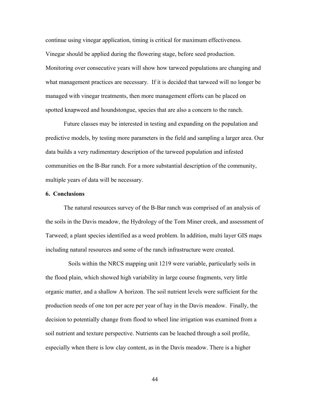continue using vinegar application, timing is critical for maximum effectiveness. Vinegar should be applied during the flowering stage, before seed production. Monitoring over consecutive years will show how tarweed populations are changing and what management practices are necessary. If it is decided that tarweed will no longer be managed with vinegar treatments, then more management efforts can be placed on spotted knapweed and houndstongue, species that are also a concern to the ranch.

Future classes may be interested in testing and expanding on the population and predictive models, by testing more parameters in the field and sampling a larger area. Our data builds a very rudimentary description of the tarweed population and infested communities on the B-Bar ranch. For a more substantial description of the community, multiple years of data will be necessary.

#### **6. Conclusions**

The natural resources survey of the B-Bar ranch was comprised of an analysis of the soils in the Davis meadow, the Hydrology of the Tom Miner creek, and assessment of Tarweed; a plant species identified as a weed problem. In addition, multi layer GIS maps including natural resources and some of the ranch infrastructure were created.

 Soils within the NRCS mapping unit 1219 were variable, particularly soils in the flood plain, which showed high variability in large course fragments, very little organic matter, and a shallow A horizon. The soil nutrient levels were sufficient for the production needs of one ton per acre per year of hay in the Davis meadow. Finally, the decision to potentially change from flood to wheel line irrigation was examined from a soil nutrient and texture perspective. Nutrients can be leached through a soil profile, especially when there is low clay content, as in the Davis meadow. There is a higher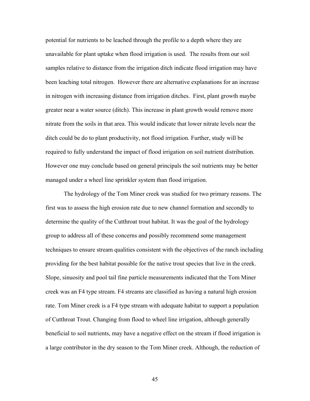potential for nutrients to be leached through the profile to a depth where they are unavailable for plant uptake when flood irrigation is used. The results from our soil samples relative to distance from the irrigation ditch indicate flood irrigation may have been leaching total nitrogen. However there are alternative explanations for an increase in nitrogen with increasing distance from irrigation ditches. First, plant growth maybe greater near a water source (ditch). This increase in plant growth would remove more nitrate from the soils in that area. This would indicate that lower nitrate levels near the ditch could be do to plant productivity, not flood irrigation. Further, study will be required to fully understand the impact of flood irrigation on soil nutrient distribution. However one may conclude based on general principals the soil nutrients may be better managed under a wheel line sprinkler system than flood irrigation.

The hydrology of the Tom Miner creek was studied for two primary reasons. The first was to assess the high erosion rate due to new channel formation and secondly to determine the quality of the Cutthroat trout habitat. It was the goal of the hydrology group to address all of these concerns and possibly recommend some management techniques to ensure stream qualities consistent with the objectives of the ranch including providing for the best habitat possible for the native trout species that live in the creek. Slope, sinuosity and pool tail fine particle measurements indicated that the Tom Miner creek was an F4 type stream. F4 streams are classified as having a natural high erosion rate. Tom Miner creek is a F4 type stream with adequate habitat to support a population of Cutthroat Trout. Changing from flood to wheel line irrigation, although generally beneficial to soil nutrients, may have a negative effect on the stream if flood irrigation is a large contributor in the dry season to the Tom Miner creek. Although, the reduction of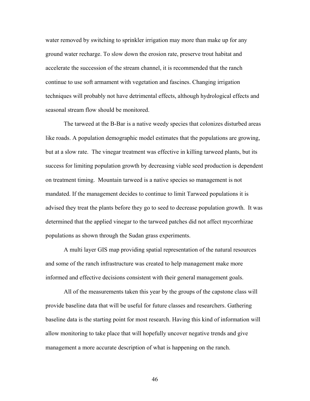water removed by switching to sprinkler irrigation may more than make up for any ground water recharge. To slow down the erosion rate, preserve trout habitat and accelerate the succession of the stream channel, it is recommended that the ranch continue to use soft armament with vegetation and fascines. Changing irrigation techniques will probably not have detrimental effects, although hydrological effects and seasonal stream flow should be monitored.

The tarweed at the B-Bar is a native weedy species that colonizes disturbed areas like roads. A population demographic model estimates that the populations are growing, but at a slow rate. The vinegar treatment was effective in killing tarweed plants, but its success for limiting population growth by decreasing viable seed production is dependent on treatment timing. Mountain tarweed is a native species so management is not mandated. If the management decides to continue to limit Tarweed populations it is advised they treat the plants before they go to seed to decrease population growth. It was determined that the applied vinegar to the tarweed patches did not affect mycorrhizae populations as shown through the Sudan grass experiments.

A multi layer GIS map providing spatial representation of the natural resources and some of the ranch infrastructure was created to help management make more informed and effective decisions consistent with their general management goals.

All of the measurements taken this year by the groups of the capstone class will provide baseline data that will be useful for future classes and researchers. Gathering baseline data is the starting point for most research. Having this kind of information will allow monitoring to take place that will hopefully uncover negative trends and give management a more accurate description of what is happening on the ranch.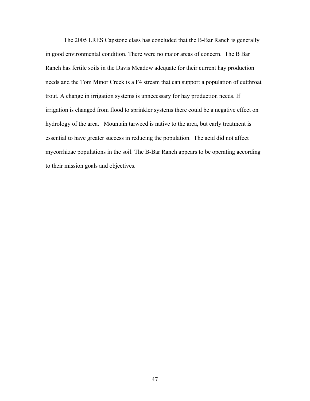The 2005 LRES Capstone class has concluded that the B-Bar Ranch is generally in good environmental condition. There were no major areas of concern. The B Bar Ranch has fertile soils in the Davis Meadow adequate for their current hay production needs and the Tom Minor Creek is a F4 stream that can support a population of cutthroat trout. A change in irrigation systems is unnecessary for hay production needs. If irrigation is changed from flood to sprinkler systems there could be a negative effect on hydrology of the area. Mountain tarweed is native to the area, but early treatment is essential to have greater success in reducing the population. The acid did not affect mycorrhizae populations in the soil. The B-Bar Ranch appears to be operating according to their mission goals and objectives.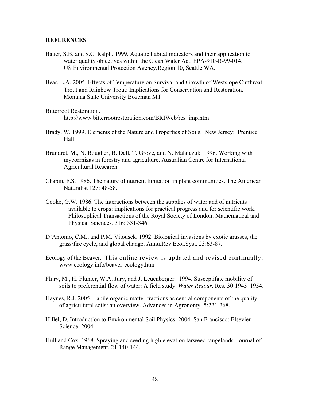#### **REFERENCES**

- Bauer, S.B. and S.C. Ralph. 1999. Aquatic habitat indicators and their application to water quality objectives within the Clean Water Act. EPA-910-R-99-014. US Environmental Protection Agency,Region 10, Seattle WA.
- Bear, E.A. 2005. Effects of Temperature on Survival and Growth of Westslope Cutthroat Trout and Rainbow Trout: Implications for Conservation and Restoration. Montana State University Bozeman MT
- Bitterroot Restoration. http://www.bitterrootrestoration.com/BRIWeb/res\_imp.htm
- Brady, W. 1999. Elements of the Nature and Properties of Soils. New Jersey: Prentice Hall.
- Brundret, M., N. Bougher, B. Dell, T. Grove, and N. Malajczuk. 1996. Working with mycorrhizas in forestry and agriculture. Australian Centre for International Agricultural Research.
- Chapin, F.S. 1986. The nature of nutrient limitation in plant communities. The American Naturalist 127: 48-58.
- Cooke, G.W. 1986. The interactions between the supplies of water and of nutrients available to crops: implications for practical progress and for scientific work. Philosophical Transactions of the Royal Society of London: Mathematical and Physical Sciences*.* 316: 331-346.
- D'Antonio, C.M., and P.M. Vitousek. 1992. Biological invasions by exotic grasses, the grass/fire cycle, and global change. Annu.Rev.Ecol.Syst. 23:63-87.
- Ecology of the Beaver. This online review is updated and revised continually. [www.ecology.info/beaver-ecology.htm](http://www.ecology.info/beaver-ecology.htm)
- Flury, M., H. Fluhler, W.A. Jury, and J. Leuenberger. 1994. Susceptifate mobility of soils to preferential flow of water: A field study. *Water Resour*. Res. 30:1945–1954.
- Haynes, R.J. 2005. Labile organic matter fractions as central components of the quality of agricultural soils: an overview. Advances in Agronomy. 5:221-268.
- Hillel, D. Introduction to Environmental Soil Physics. 2004. San Francisco: Elsevier Science, 2004.
- Hull and Cox. 1968. Spraying and seeding high elevation tarweed rangelands. Journal of Range Management. 21:140-144.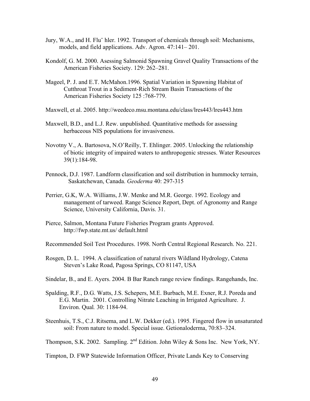- Jury, W.A., and H. Flu¨ hler. 1992. Transport of chemicals through soil: Mechanisms, models, and field applications. Adv. Agron. 47:141– 201.
- Kondolf, G. M. 2000. Asessing Salmonid Spawning Gravel Quality Transactions of the American Fisheries Society. 129: 262–281.
- Mageel, P. J. and E.T. McMahon.1996. Spatial Variation in Spawning Habitat of Cutthroat Trout in a Sediment-Rich Stream Basin Transactions of the American Fisheries Society 125 :768-779.
- Maxwell, et al. 2005. http://weedeco.msu.montana.edu/class/lres443/lres443.htm
- Maxwell, B.D., and L.J. Rew. unpublished. Quantitative methods for assessing herbaceous NIS populations for invasiveness.
- [Novotny](http://www.ncbi.nlm.nih.gov/entrez/query.fcgi?db=PubMed&cmd=Search&term=%22Novotny+V%22%5BAuthor%5D) V., A. Bartosova, N.O'Reilly, T. Ehlinger. 2005. Unlocking the relationship of biotic integrity of impaired waters to anthropogenic stresses. Water Resources 39(1):184-98.
- Pennock, D.J. 1987. Landform classification and soil distribution in hummocky terrain, Saskatchewan, Canada. *Geoderma* 40: 297-315
- Perrier, G.K, W.A. Williams, J.W. Menke and M.R. George. 1992. Ecology and management of tarweed. Range Science Report, Dept. of Agronomy and Range Science, University California, Davis. 31.
- Pierce, Salmon, Montana Future Fisheries Program grants Approved. <http://fwp.state.mt.us/ default.html>

Recommended Soil Test Procedures. 1998. North Central Regional Research. No. 221.

- Rosgen, D. L. 1994. A classification of natural rivers Wildland Hydrology, Catena Steven's Lake Road, Pagosa Springs, CO 81147, USA
- Sindelar, B., and E. Ayers. 2004. B Bar Ranch range review findings. Rangehands, Inc.
- Spalding, R.F., D.G. Watts, J.S. Schepers, M.E. Burbach, M.E. Exner, R.J. Poreda and E.G. Martin. 2001. Controlling Nitrate Leaching in Irrigated Agriculture. J. Environ. Qual*.* 30: 1184-94.
- Steenhuis, T.S., C.J. Ritsema, and L.W. Dekker (ed.). 1995. Fingered flow in unsaturated soil: From nature to model. Special issue. Getionaloderma, 70:83–324.

Thompson, S.K. 2002. Sampling.  $2^{nd}$  Edition. John Wiley & Sons Inc. New York, NY.

Timpton, D. FWP Statewide Information Officer, Private Lands Key to Conserving